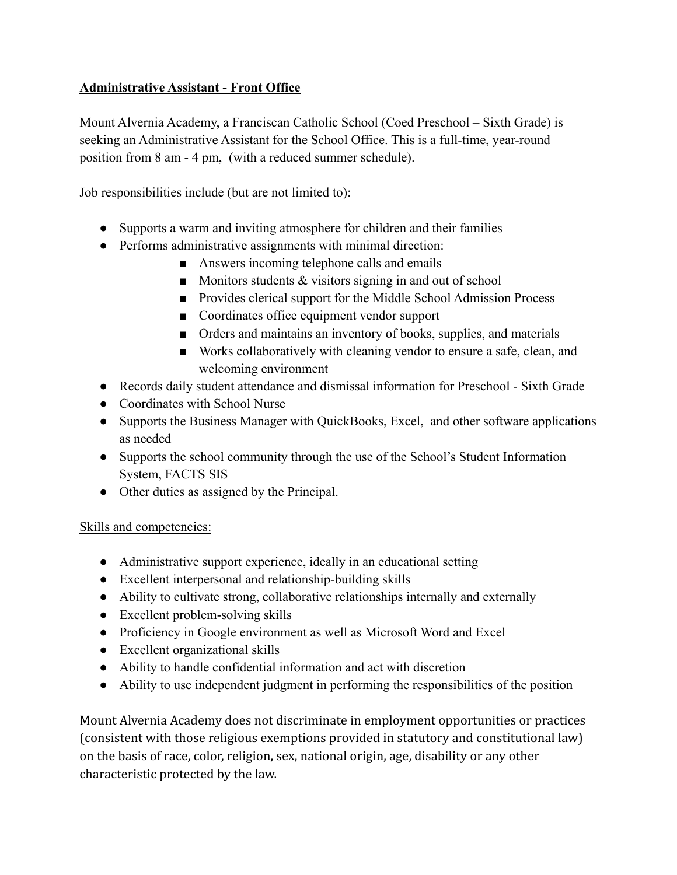## **Administrative Assistant - Front Office**

Mount Alvernia Academy, a Franciscan Catholic School (Coed Preschool – Sixth Grade) is seeking an Administrative Assistant for the School Office. This is a full-time, year-round position from 8 am - 4 pm, (with a reduced summer schedule).

Job responsibilities include (but are not limited to):

- Supports a warm and inviting atmosphere for children and their families
- Performs administrative assignments with minimal direction:
	- Answers incoming telephone calls and emails
	- $\blacksquare$  Monitors students & visitors signing in and out of school
	- Provides clerical support for the Middle School Admission Process
	- Coordinates office equipment vendor support
	- Orders and maintains an inventory of books, supplies, and materials
	- Works collaboratively with cleaning vendor to ensure a safe, clean, and welcoming environment
- Records daily student attendance and dismissal information for Preschool Sixth Grade
- Coordinates with School Nurse
- Supports the Business Manager with QuickBooks, Excel, and other software applications as needed
- Supports the school community through the use of the School's Student Information System, FACTS SIS
- Other duties as assigned by the Principal.

## Skills and competencies:

- Administrative support experience, ideally in an educational setting
- Excellent interpersonal and relationship-building skills
- Ability to cultivate strong, collaborative relationships internally and externally
- Excellent problem-solving skills
- Proficiency in Google environment as well as Microsoft Word and Excel
- Excellent organizational skills
- Ability to handle confidential information and act with discretion
- Ability to use independent judgment in performing the responsibilities of the position

Mount Alvernia Academy does not discriminate in employment opportunities or practices (consistent with those religious exemptions provided in statutory and constitutional law) on the basis of race, color, religion, sex, national origin, age, disability or any other characteristic protected by the law.